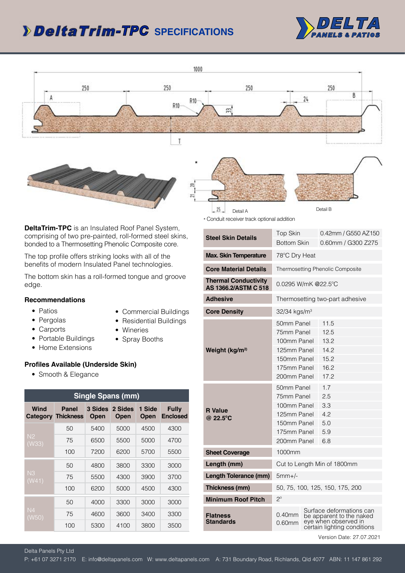## **SPECIFICATIONS** *-TPC*



Detail B



\*

Detail A

 $25 -$ 



**DeltaTrim-TPC** is an Insulated Roof Panel System, comprising of two pre-painted, roll-formed steel skins, bonded to a Thermosetting Phenolic Composite core.

The top profile offers striking looks with all of the benefits of modern Insulated Panel technologies.

The bottom skin has a roll-formed tongue and groove edge.

## **Recommendations**

- Patios
- Commercial Buildings
- Pergolas
- Carports
- Residential Buildings • Wineries
- Spray Booths
- Portable Buildings • Home Extensions

## **Profiles Available (Underside Skin)**

• Smooth & Elegance

| <b>Single Spans (mm)</b> |                                    |                        |                        |                       |                                 |
|--------------------------|------------------------------------|------------------------|------------------------|-----------------------|---------------------------------|
| Wind                     | Panel<br><b>Category Thickness</b> | 3 Sides<br><b>Open</b> | 2 Sides<br><b>Open</b> | 1 Side<br><b>Open</b> | <b>Fully</b><br><b>Enclosed</b> |
| N <sub>2</sub><br>(W33)  | 50                                 | 5400                   | 5000                   | 4500                  | 4300                            |
|                          | 75                                 | 6500                   | 5500                   | 5000                  | 4700                            |
|                          | 100                                | 7200                   | 6200                   | 5700                  | 5500                            |
| N <sub>3</sub><br>(W41)  | 50                                 | 4800                   | 3800                   | 3300                  | 3000                            |
|                          | 75                                 | 5500                   | 4300                   | 3900                  | 3700                            |
|                          | 100                                | 6200                   | 5000                   | 4500                  | 4300                            |
| N <sub>4</sub><br>(W50)  | 50                                 | 4000                   | 3300                   | 3000                  | 3000                            |
|                          | 75                                 | 4600                   | 3600                   | 3400                  | 3300                            |
|                          | 100                                | 5300                   | 4100                   | 3800                  | 3500                            |

| * Conduit receiver track optional addition          |                                 |  |                                                                                                             |  |
|-----------------------------------------------------|---------------------------------|--|-------------------------------------------------------------------------------------------------------------|--|
|                                                     | Top Skin                        |  | 0.42mm / G550 AZ150                                                                                         |  |
| <b>Steel Skin Details</b>                           | <b>Bottom Skin</b>              |  | 0.60mm / G300 Z275                                                                                          |  |
| <b>Max. Skin Temperature</b>                        | 78°C Dry Heat                   |  |                                                                                                             |  |
| <b>Core Material Details</b>                        |                                 |  | Thermosetting Phenolic Composite                                                                            |  |
| <b>Thermal Conductivity</b><br>AS 1366.2/ASTM C 518 | $0.0295$ W/mK @22.5°C           |  |                                                                                                             |  |
| <b>Adhesive</b>                                     | Thermosetting two-part adhesive |  |                                                                                                             |  |
| <b>Core Density</b>                                 | $32/34$ kgs/m <sup>3</sup>      |  |                                                                                                             |  |
|                                                     | 50mm Panel                      |  | 11.5                                                                                                        |  |
|                                                     | 75mm Panel                      |  | 12.5                                                                                                        |  |
|                                                     | 100mm Panel                     |  | 13.2                                                                                                        |  |
| Weight (kg/m <sup>2)</sup>                          | 125mm Panel                     |  | 14.2                                                                                                        |  |
|                                                     | 150mm Panel                     |  | 15.2                                                                                                        |  |
|                                                     | 175mm Panel                     |  | 16.2                                                                                                        |  |
|                                                     | 200mm Panel                     |  | 17.2                                                                                                        |  |
|                                                     | 50mm Panel                      |  | 1.7                                                                                                         |  |
|                                                     | 75mm Panel                      |  | 2.5                                                                                                         |  |
|                                                     | 100mm Panel                     |  | 3.3                                                                                                         |  |
| <b>R</b> Value<br>@ 22.5°C                          | 125mm Panel                     |  | 4.2                                                                                                         |  |
|                                                     | 150mm Panel                     |  | 5.0                                                                                                         |  |
|                                                     | 175mm Panel                     |  | 5.9                                                                                                         |  |
|                                                     | 200mm Panel                     |  | 6.8                                                                                                         |  |
| <b>Sheet Coverage</b>                               | 1000mm                          |  |                                                                                                             |  |
| Length (mm)                                         | Cut to Length Min of 1800mm     |  |                                                                                                             |  |
| <b>Length Tolerance (mm)</b>                        | $5mm+/-$                        |  |                                                                                                             |  |
| Thickness (mm)                                      | 50, 75, 100, 125, 150, 175, 200 |  |                                                                                                             |  |
| <b>Minimum Roof Pitch</b>                           | $2^{\circ}$                     |  |                                                                                                             |  |
| <b>Flatness</b><br><b>Standards</b>                 | $0.40$ mm<br>$0.60$ mm          |  | Surface deformations can<br>be apparent to the naked<br>eye when observed in<br>certain lighting conditions |  |

Version Date: 27.07.2021